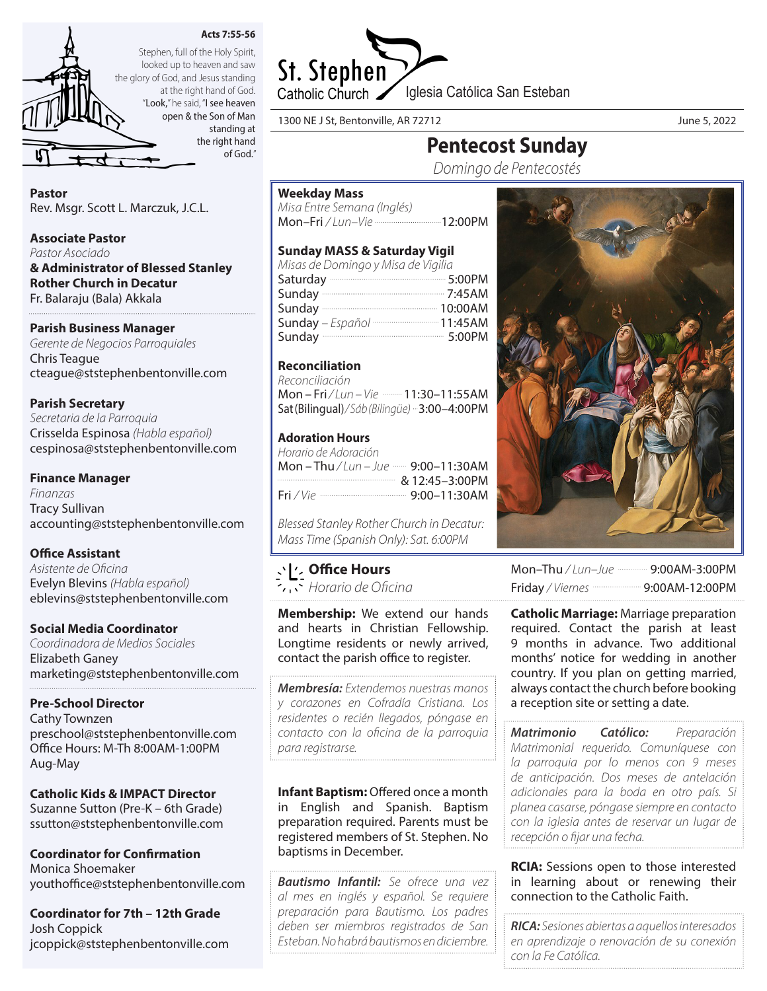

of God."



looked up to heaven and saw the glory of God, and Jesus standing at the right hand of God. "Look," he said, "I see heaven open & the Son of Man standing at the right hand

Pastor

Rev. Msgr. Scott L. Marczuk, J.C.L.

## Associate Pastor

*Pastor Asociado*

& Administrator of Blessed Stanley Rother Church in Decatur Fr. Balaraju (Bala) Akkala

# Parish Business Manager

*Gerente de Negocios Parroquiales* Chris Teague cteague@ststephenbentonville.com

# Parish Secretary

*Secretaria de la Parroquia* Crisselda Espinosa *(Habla español)* cespinosa@ststephenbentonville.com

# Finance Manager

*Finanzas* Tracy Sullivan accounting@ststephenbentonville.com

## Office Assistant

*Asistente de Oficina* Evelyn Blevins *(Habla español)* eblevins@ststephenbentonville.com

## Social Media Coordinator

*Coordinadora de Medios Sociales* Elizabeth Ganey marketing@ststephenbentonville.com

## Pre-School Director

Cathy Townzen preschool@ststephenbentonville.com Office Hours: M-Th 8:00AM-1:00PM Aug-May

# Catholic Kids & IMPACT Director Suzanne Sutton (Pre-K – 6th Grade)

ssutton@ststephenbentonville.com

Coordinator for Confirmation Monica Shoemaker youthoffice@ststephenbentonville.com

Coordinator for 7th – 12th Grade Josh Coppick jcoppick@ststephenbentonville.com



Pentecost Sunday *Domingo de Pentecostés*

1300 NE J St, Bentonville, AR 72712 June 5, 2022

Weekday Mass

Reconciliation *Reconciliación* 

Adoration Hours *Horario de Adoración*

*Misa Entre Semana (Inglés)*

Mon-Fri / Lun-Vie ---------------------------12:00PM

Mon – Fri / Lun – Vie **- 11:30–11:55AM** Sat (Bilingual)*/ Sáb (Bilingüe)* 3:00–4:00PM

Mon - Thu / Lun - Jue **- 9:00-11:30AM** & 12:45–3:00PM Fri */ Vie* 9:00–11:30AM

*Blessed Stanley Rother Church in Decatur: Mass Time (Spanish Only): Sat. 6:00PM*

Sunday MASS & Saturday Vigil *Misas de Domingo y Misa de Vigilia* Saturday 2000 5:00PM Sunday 7:45AM Sunday 10:00AM Sunday – Español **museum museum 11:45AM** Sunday 5:00PM

Office Hours *Horario de Oficina*

Membership: We extend our hands and hearts in Christian Fellowship. Longtime residents or newly arrived, contact the parish office to register.

*Membresía: Extendemos nuestras manos y corazones en Cofradía Cristiana. Los residentes o recién llegados, póngase en contacto con la oficina de la parroquia para registrarse.*

Infant Baptism: Offered once a month in English and Spanish. Baptism preparation required. Parents must be registered members of St. Stephen. No baptisms in December.

*Bautismo Infantil: Se ofrece una vez al mes en inglés y español. Se requiere preparación para Bautismo. Los padres deben ser miembros registrados de San Esteban. No habrá bautismos en diciembre.*

Mon-Thu / Lun-Jue ----------- 9:00AM-3:00PM Friday */ Viernes* 9:00AM-12:00PM

**Catholic Marriage:** Marriage preparation required. Contact the parish at least 9 months in advance. Two additional months' notice for wedding in another country. If you plan on getting married, always contact the church before booking a reception site or setting a date.

*Matrimonio Católico: Preparación Matrimonial requerido. Comuníquese con la parroquia por lo menos con 9 meses de anticipación. Dos meses de antelación adicionales para la boda en otro país. Si planea casarse, póngase siempre en contacto con la iglesia antes de reservar un lugar de recepción o fijar una fecha.*

**RCIA:** Sessions open to those interested in learning about or renewing their connection to the Catholic Faith.

*RICA: Sesiones abiertas a aquellos interesados en aprendizaje o renovación de su conexión con la Fe Católica.*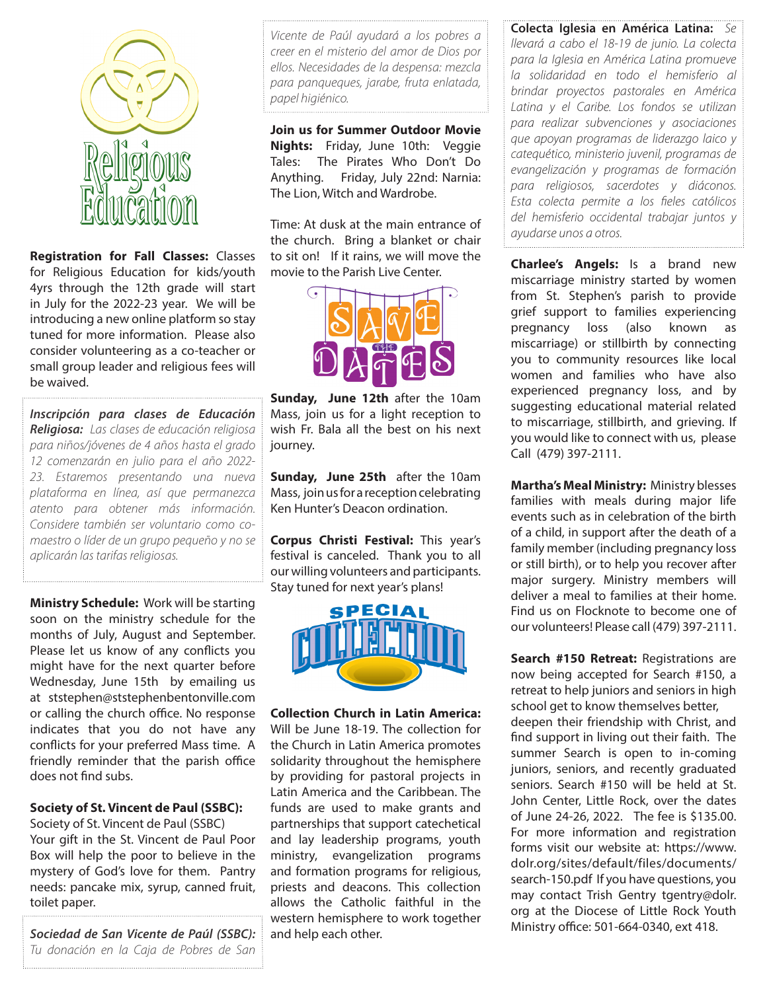

Registration for Fall Classes: Classes for Religious Education for kids/youth 4yrs through the 12th grade will start in July for the 2022-23 year. We will be introducing a new online platform so stay tuned for more information. Please also consider volunteering as a co-teacher or small group leader and religious fees will be waived.

*Inscripción para clases de Educación Religiosa: Las clases de educación religiosa para niños/jóvenes de 4 años hasta el grado 12 comenzarán en julio para el año 2022- 23. Estaremos presentando una nueva plataforma en línea, así que permanezca atento para obtener más información. Considere también ser voluntario como comaestro o líder de un grupo pequeño y no se aplicarán las tarifas religiosas.*

**Ministry Schedule: Work will be starting** soon on the ministry schedule for the months of July, August and September. Please let us know of any conflicts you might have for the next quarter before Wednesday, June 15th by emailing us at ststephen@ststephenbentonville.com or calling the church office. No response indicates that you do not have any conflicts for your preferred Mass time. A friendly reminder that the parish office does not find subs.

## Society of St. Vincent de Paul (SSBC):

Society of St. Vincent de Paul (SSBC) Your gift in the St. Vincent de Paul Poor Box will help the poor to believe in the mystery of God's love for them. Pantry needs: pancake mix, syrup, canned fruit, toilet paper.

*Sociedad de San Vicente de Paúl (SSBC): Tu donación en la Caja de Pobres de San* 

*Vicente de Paúl ayudará a los pobres a creer en el misterio del amor de Dios por ellos. Necesidades de la despensa: mezcla para panqueques, jarabe, fruta enlatada, papel higiénico.*

Join us for Summer Outdoor Movie Nights: Friday, June 10th: Veggie Tales: The Pirates Who Don't Do Anything. Friday, July 22nd: Narnia: The Lion, Witch and Wardrobe.

Time: At dusk at the main entrance of the church. Bring a blanket or chair to sit on! If it rains, we will move the movie to the Parish Live Center.



Sunday, June 12th after the 10am Mass, join us for a light reception to wish Fr. Bala all the best on his next journey.

Sunday, June 25th after the 10am Mass, join us for a reception celebrating Ken Hunter's Deacon ordination.

Corpus Christi Festival: This year's festival is canceled. Thank you to all our willing volunteers and participants. Stay tuned for next year's plans!



Collection Church in Latin America: Will be June 18-19. The collection for the Church in Latin America promotes solidarity throughout the hemisphere by providing for pastoral projects in Latin America and the Caribbean. The funds are used to make grants and partnerships that support catechetical and lay leadership programs, youth ministry, evangelization programs and formation programs for religious, priests and deacons. This collection allows the Catholic faithful in the western hemisphere to work together and help each other.

Colecta Iglesia en América Latina: *Se llevará a cabo el 18-19 de junio. La colecta para la Iglesia en América Latina promueve la solidaridad en todo el hemisferio al brindar proyectos pastorales en América Latina y el Caribe. Los fondos se utilizan para realizar subvenciones y asociaciones que apoyan programas de liderazgo laico y catequético, ministerio juvenil, programas de evangelización y programas de formación para religiosos, sacerdotes y diáconos. Esta colecta permite a los fieles católicos del hemisferio occidental trabajar juntos y ayudarse unos a otros.*

Charlee's Angels: Is a brand new miscarriage ministry started by women from St. Stephen's parish to provide grief support to families experiencing pregnancy loss (also known as miscarriage) or stillbirth by connecting you to community resources like local women and families who have also experienced pregnancy loss, and by suggesting educational material related to miscarriage, stillbirth, and grieving. If you would like to connect with us, please Call (479) 397-2111.

Martha's Meal Ministry: Ministry blesses families with meals during major life events such as in celebration of the birth of a child, in support after the death of a family member (including pregnancy loss or still birth), or to help you recover after major surgery. Ministry members will deliver a meal to families at their home. Find us on Flocknote to become one of our volunteers! Please call (479) 397-2111.

Search #150 Retreat: Registrations are now being accepted for Search #150, a retreat to help juniors and seniors in high school get to know themselves better, deepen their friendship with Christ, and find support in living out their faith. The summer Search is open to in-coming juniors, seniors, and recently graduated seniors. Search #150 will be held at St. John Center, Little Rock, over the dates of June 24-26, 2022. The fee is \$135.00. For more information and registration forms visit our website at: https://www. dolr.org/sites/default/files/documents/ search-150.pdf If you have questions, you may contact Trish Gentry tgentry@dolr. org at the Diocese of Little Rock Youth Ministry office: 501-664-0340, ext 418.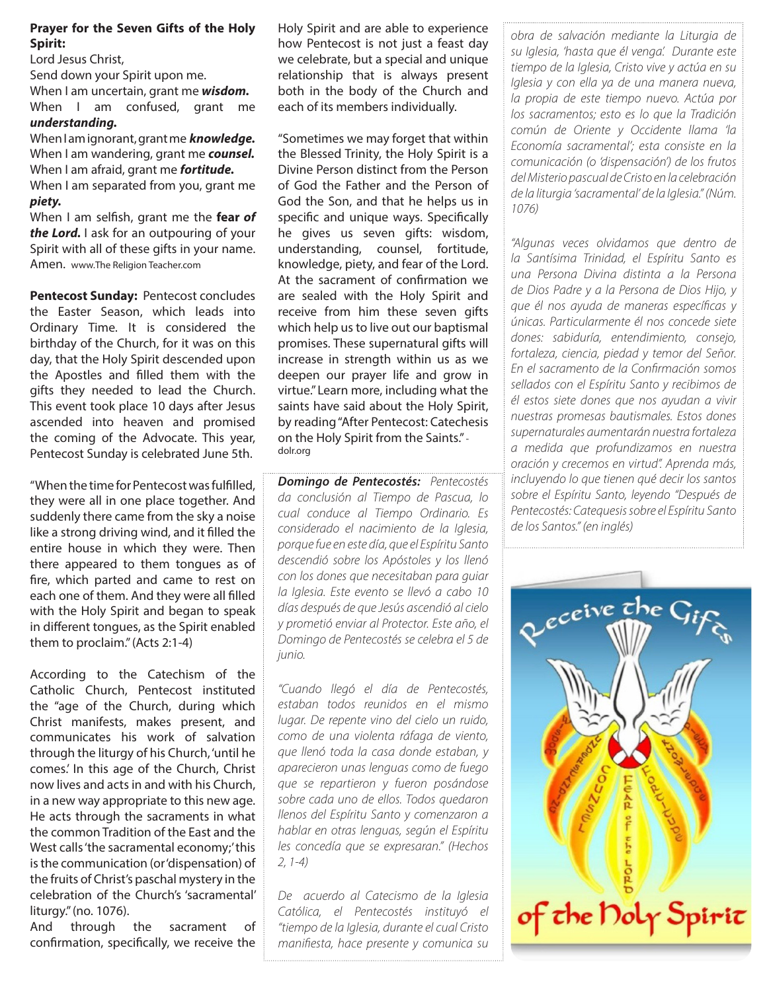## Prayer for the Seven Gifts of the Holy Spirit:

Lord Jesus Christ, Send down your Spirit upon me. When I am uncertain, grant me *wisdom.* When I am confused, grant me *understanding.*

When I am ignorant, grant me *knowledge.*  When I am wandering, grant me *counsel.* When I am afraid, grant me *fortitude.*  When I am separated from you, grant me *piety.*

When I am selfish, grant me the fear *of the Lord.* I ask for an outpouring of your Spirit with all of these gifts in your name. Amen. www.The Religion Teacher.com

Pentecost Sunday: Pentecost concludes the Easter Season, which leads into Ordinary Time. It is considered the birthday of the Church, for it was on this day, that the Holy Spirit descended upon the Apostles and filled them with the gifts they needed to lead the Church. This event took place 10 days after Jesus ascended into heaven and promised the coming of the Advocate. This year, Pentecost Sunday is celebrated June 5th.

"When the time for Pentecost was fulfilled, they were all in one place together. And suddenly there came from the sky a noise like a strong driving wind, and it filled the entire house in which they were. Then there appeared to them tongues as of fire, which parted and came to rest on each one of them. And they were all filled with the Holy Spirit and began to speak in different tongues, as the Spirit enabled them to proclaim." (Acts 2:1-4)

According to the Catechism of the Catholic Church, Pentecost instituted the "age of the Church, during which Christ manifests, makes present, and communicates his work of salvation through the liturgy of his Church, 'until he comes.' In this age of the Church, Christ now lives and acts in and with his Church, in a new way appropriate to this new age. He acts through the sacraments in what the common Tradition of the East and the West calls 'the sacramental economy;' this is the communication (or 'dispensation) of the fruits of Christ's paschal mystery in the celebration of the Church's 'sacramental' liturgy." (no. 1076).

And through the sacrament of confirmation, specifically, we receive the

Holy Spirit and are able to experience how Pentecost is not just a feast day we celebrate, but a special and unique relationship that is always present both in the body of the Church and each of its members individually.

"Sometimes we may forget that within the Blessed Trinity, the Holy Spirit is a Divine Person distinct from the Person of God the Father and the Person of God the Son, and that he helps us in specific and unique ways. Specifically he gives us seven gifts: wisdom, understanding, counsel, fortitude, knowledge, piety, and fear of the Lord. At the sacrament of confirmation we are sealed with the Holy Spirit and receive from him these seven gifts which help us to live out our baptismal promises. These supernatural gifts will increase in strength within us as we deepen our prayer life and grow in virtue." Learn more, including what the saints have said about the Holy Spirit, by reading "After Pentecost: Catechesis on the Holy Spirit from the Saints." dolr.org

*Domingo de Pentecostés: Pentecostés da conclusión al Tiempo de Pascua, lo cual conduce al Tiempo Ordinario. Es considerado el nacimiento de la Iglesia, porque fue en este día, que el Espíritu Santo descendió sobre los Apóstoles y los llenó con los dones que necesitaban para guiar la Iglesia. Este evento se llevó a cabo 10 días después de que Jesús ascendió al cielo y prometió enviar al Protector. Este año, el Domingo de Pentecostés se celebra el 5 de junio.*

*"Cuando llegó el día de Pentecostés, estaban todos reunidos en el mismo lugar. De repente vino del cielo un ruido, como de una violenta ráfaga de viento, que llenó toda la casa donde estaban, y aparecieron unas lenguas como de fuego que se repartieron y fueron posándose sobre cada uno de ellos. Todos quedaron llenos del Espíritu Santo y comenzaron a hablar en otras lenguas, según el Espíritu les concedía que se expresaran." (Hechos 2, 1-4)*

*De acuerdo al Catecismo de la Iglesia Católica, el Pentecostés instituyó el "tiempo de la Iglesia, durante el cual Cristo manifiesta, hace presente y comunica su* 

*obra de salvación mediante la Liturgia de su Iglesia, 'hasta que él venga'. Durante este tiempo de la Iglesia, Cristo vive y actúa en su Iglesia y con ella ya de una manera nueva, la propia de este tiempo nuevo. Actúa por los sacramentos; esto es lo que la Tradición común de Oriente y Occidente llama 'la Economía sacramental'; esta consiste en la comunicación (o 'dispensación') de los frutos del Misterio pascual de Cristo en la celebración de la liturgia 'sacramental' de la Iglesia." (Núm. 1076)*

*"Algunas veces olvidamos que dentro de la Santísima Trinidad, el Espíritu Santo es una Persona Divina distinta a la Persona de Dios Padre y a la Persona de Dios Hijo, y que él nos ayuda de maneras específicas y únicas. Particularmente él nos concede siete dones: sabiduría, entendimiento, consejo, fortaleza, ciencia, piedad y temor del Señor. En el sacramento de la Confirmación somos sellados con el Espíritu Santo y recibimos de él estos siete dones que nos ayudan a vivir nuestras promesas bautismales. Estos dones supernaturales aumentarán nuestra fortaleza a medida que profundizamos en nuestra oración y crecemos en virtud". Aprenda más, incluyendo lo que tienen qué decir los santos sobre el Espíritu Santo, leyendo "Después de Pentecostés: Catequesis sobre el Espíritu Santo de los Santos." (en inglés)*